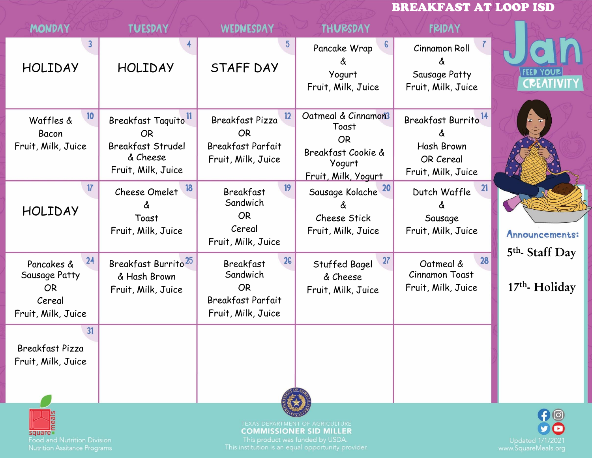## BREAKFAST AT LOOP ISD

| <b>MONDAY</b>                                                                  | <b>TUESDAY</b>                                                                                             | <b>WEDNESDAY</b>                                                                                  | <b>THURSDAY</b>                                                                                  | <b>FRIDAY</b>                                                                    |                                 |
|--------------------------------------------------------------------------------|------------------------------------------------------------------------------------------------------------|---------------------------------------------------------------------------------------------------|--------------------------------------------------------------------------------------------------|----------------------------------------------------------------------------------|---------------------------------|
| <b>HOLIDAY</b>                                                                 | <b>HOLIDAY</b>                                                                                             | <b>STAFF DAY</b>                                                                                  | $\epsilon$<br>Pancake Wrap<br>Δ<br>Yogurt<br>Fruit, Milk, Juice                                  | Cinnamon Roll<br>Sausage Patty<br>Fruit, Milk, Juice                             | <b>FEED YOUR</b><br>CREATIVITY  |
| 10<br>Waffles &<br>Bacon<br>Fruit, Milk, Juice                                 | Breakfast Taquito <sup>11</sup><br><b>OR</b><br><b>Breakfast Strudel</b><br>& Cheese<br>Fruit, Milk, Juice | 12<br>Breakfast Pizza<br><b>OR</b><br><b>Breakfast Parfait</b><br>Fruit, Milk, Juice              | Oatmeal & Cinnamon3<br>Toast<br><b>OR</b><br>Breakfast Cookie &<br>Yogurt<br>Fruit, Milk, Yogurt | Breakfast Burrito <sup>14</sup><br>Hash Brown<br>OR Cereal<br>Fruit, Milk, Juice |                                 |
| 17<br><b>HOLIDAY</b>                                                           | 18<br>Cheese Omelet<br>Toast<br>Fruit, Milk, Juice                                                         | 19<br><b>Breakfast</b><br>Sandwich<br><b>OR</b><br>Cereal<br>Fruit, Milk, Juice                   | Sausage Kolache <sup>20</sup><br>Cheese Stick<br>Fruit, Milk, Juice                              | 21<br>Dutch Waffle<br>Sausage<br>Fruit, Milk, Juice                              | Announcements:<br>5th Staff Day |
| 24<br>Pancakes &<br>Sausage Patty<br><b>OR</b><br>Cereal<br>Fruit, Milk, Juice | Breakfast Burrito <sup>25</sup><br>& Hash Brown<br>Fruit, Milk, Juice                                      | 26<br><b>Breakfast</b><br>Sandwich<br><b>OR</b><br><b>Breakfast Parfait</b><br>Fruit, Milk, Juice | 27<br>Stuffed Bagel<br>& Cheese<br>Fruit, Milk, Juice                                            | 28<br>Oatmeal &<br><b>Cinnamon Toast</b><br>Fruit, Milk, Juice                   | $17th$ - Holiday                |
| 31<br>Breakfast Pizza<br>Fruit, Milk, Juice                                    |                                                                                                            |                                                                                                   |                                                                                                  |                                                                                  |                                 |
| square<br><b>Food and Nutrition Division</b>                                   |                                                                                                            | This product was funded by USDA.                                                                  | TEXAS DEPARTMENT OF AGRICULTURE<br><b>COMMISSIONER SID MILLER</b>                                |                                                                                  | $\bigoplus$<br>Updated 1/1/2021 |